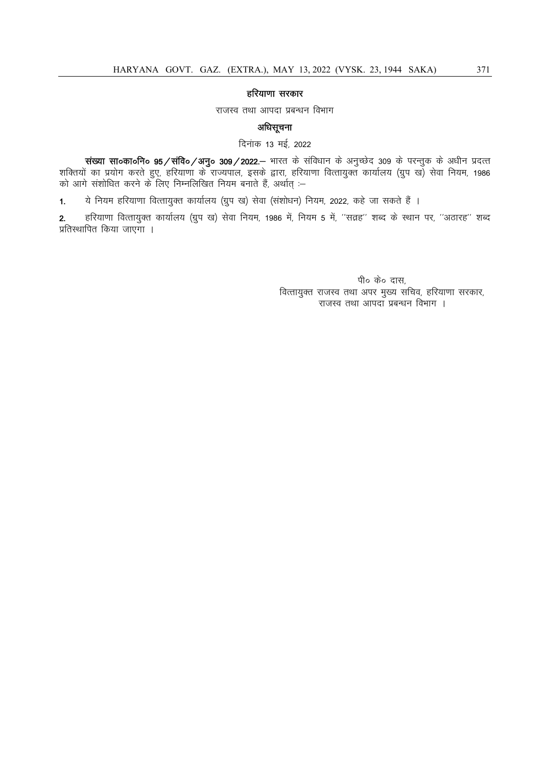## हरियाणा सरकार

राजस्व तथा आपदा प्रबन्धन विभाग

# अधिसूचना

दिनांक 13 मई, 2022

संख्या सा०का०नि० 95/संवि०/अनु० 309/2022.- भारत के संविधान के अनुच्छेद 309 के परन्तुक के अधीन प्रदत्त शक्तियों का प्रयोग करते हुए, हरियाणा के राज्यपाल, इसके द्वारा, हरियाणा वित्तायुक्त कार्यालय (ग्रुप ख) सेवा नियम, 1986 को आगे संशोधित करने के लिए निम्नलिखित नियम बनाते हैं, अर्थात् :–

1. ये नियम हरियाणा वित्तायुक्त कार्यालय (ग्रुप ख) सेवा (संशोधन) नियम, 2022, कहे जा सकते हैं ।

2. हरियाणा वित्तायुक्त कार्यालय (ग्रुप ख) सेवा नियम, 1986 में, नियम 5 में, ''सत्रह'' शब्द के स्थान पर, ''अठारह'' शब्द प्रतिस्थापित किया जाएगा ।

> पी० के० दास, वित्तायुक्त राजस्व तथा अपर मुख्य सचिव, हरियाणा सरकार, राजस्व तथा आपदा प्रबन्धन विभाग ।